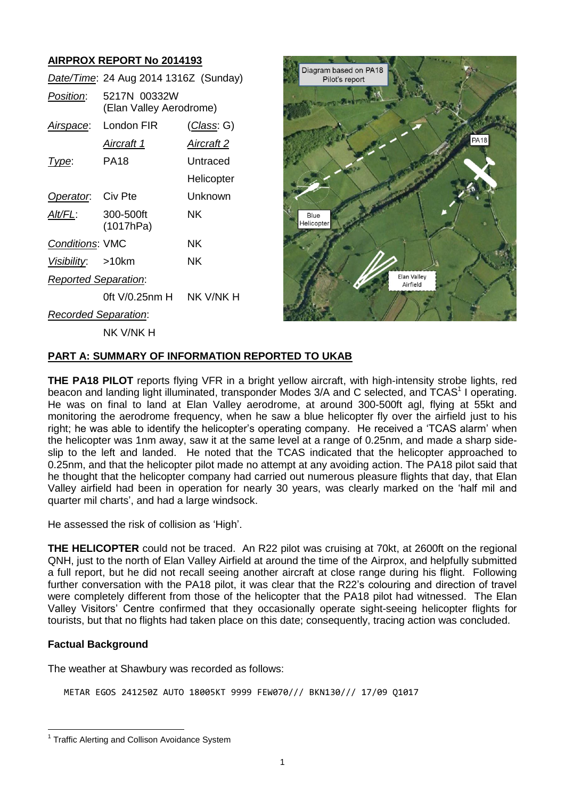# **AIRPROX REPORT No 2014193**

|                             | Date/Time: 24 Aug 2014 1316Z (Sunday)   |                    |
|-----------------------------|-----------------------------------------|--------------------|
| Position:                   | 5217N 00332W<br>(Elan Valley Aerodrome) |                    |
| Airspace:                   | London FIR                              | <u>(Class</u> : G) |
|                             | <u>Aircraft 1</u>                       | <u>Aircraft 2</u>  |
| <u> I ype:</u>              | PA18                                    | Untraced           |
|                             |                                         | Helicopter         |
| Operator.                   | Civ Pte                                 | Unknown            |
| Alt/FL:                     | 300-500ft<br>(1017hPa)                  | ΝK                 |
| <b>Conditions: VMC</b>      |                                         | ΝK                 |
| Visibility: >10km           |                                         | ΝK                 |
| <b>Reported Separation:</b> |                                         |                    |
|                             | 0ft V/0.25nm H                          | NK V/NK H          |
| <b>Recorded Separation:</b> |                                         |                    |
|                             | nk v/nk h                               |                    |



# **PART A: SUMMARY OF INFORMATION REPORTED TO UKAB**

**THE PA18 PILOT** reports flying VFR in a bright yellow aircraft, with high-intensity strobe lights, red beacon and landing light illuminated, transponder Modes 3/A and C selected, and TCAS<sup>1</sup> I operating. He was on final to land at Elan Valley aerodrome, at around 300-500ft agl, flying at 55kt and monitoring the aerodrome frequency, when he saw a blue helicopter fly over the airfield just to his right; he was able to identify the helicopter's operating company. He received a 'TCAS alarm' when the helicopter was 1nm away, saw it at the same level at a range of 0.25nm, and made a sharp sideslip to the left and landed. He noted that the TCAS indicated that the helicopter approached to 0.25nm, and that the helicopter pilot made no attempt at any avoiding action. The PA18 pilot said that he thought that the helicopter company had carried out numerous pleasure flights that day, that Elan Valley airfield had been in operation for nearly 30 years, was clearly marked on the 'half mil and quarter mil charts', and had a large windsock.

He assessed the risk of collision as 'High'.

**THE HELICOPTER** could not be traced. An R22 pilot was cruising at 70kt, at 2600ft on the regional QNH, just to the north of Elan Valley Airfield at around the time of the Airprox, and helpfully submitted a full report, but he did not recall seeing another aircraft at close range during his flight. Following further conversation with the PA18 pilot, it was clear that the R22's colouring and direction of travel were completely different from those of the helicopter that the PA18 pilot had witnessed. The Elan Valley Visitors' Centre confirmed that they occasionally operate sight-seeing helicopter flights for tourists, but that no flights had taken place on this date; consequently, tracing action was concluded.

## **Factual Background**

 $\overline{a}$ 

The weather at Shawbury was recorded as follows:

METAR EGOS 241250Z AUTO 18005KT 9999 FEW070/// BKN130/// 17/09 Q1017

<sup>&</sup>lt;sup>1</sup> Traffic Alerting and Collison Avoidance System